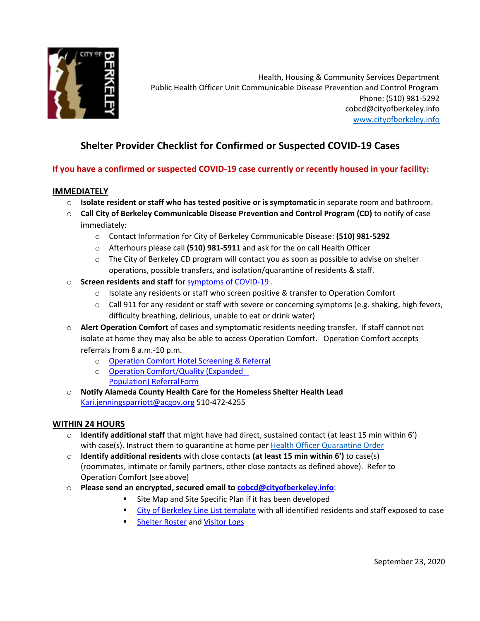

Health, Housing & Community Services Department Public Health Officer Unit Communicable Disease Prevention and Control Program Phone: (510) 981-5292 [cobcd@cityofberkeley.info](mailto:cobcd@cityofberkeley.info) [www.](http://www/)cityofberkeley.info

# **Shelter Provider Checklist for Confirmed or Suspected COVID-19 Cases**

## **If you have a confirmed or suspected COVID-19 case currently or recently housed in your facility:**

#### **IMMEDIATELY**

- o **Isolate resident or staff who has tested positive or is symptomatic** in separate room and bathroom.
- o **Call City of Berkeley Communicable Disease Prevention and Control Program (CD)** to notify of case immediately:
	- o Contact Information for City of Berkeley Communicable Disease: **(510) 981-5292**
	- o Afterhours please call **(510) 981-5911** and ask for the on call Health Officer
	- $\circ$  The City of Berkeley CD program will contact you as soon as possible to advise on shelter operations, possible transfers, and isolation/quarantine of residents & staff.
- o **Screen residents and staff** for [symptoms of COVID-19](https://www.cdc.gov/coronavirus/2019-ncov/symptoms-testing/symptoms.html) .
	- $\circ$  Isolate any residents or staff who screen positive & transfer to Operation Comfort
	- $\circ$  Call 911 for any resident or staff with severe or concerning symptoms (e.g. shaking, high fevers, difficulty breathing, delirious, unable to eat or drink water)
- o **Alert Operation Comfort** of cases and symptomatic residents needing transfer. If staff cannot not isolate at home they may also be able to access Operation Comfort. Operation Comfort accepts referrals from 8 a.m.-10 p.m.
	- o [Operation Comfort Hotel Screening & Referral](https://forms.gle/CG9GQW4R8nxRFwbg8)
	- o [Operation Comfort/Quality \(Expanded](https://forms.gle/yQxdSFtwX5g7n2U8A)  [Population\) ReferralForm](https://forms.gle/yQxdSFtwX5g7n2U8A)
- o **Notify Alameda County Health Care for the Homeless Shelter Health Lead** [Kari.jenningsparriott@acgov.org](mailto:Kari.jenningsparriott@acgov.org) 510-472-4255

#### **WITHIN 24 HOURS**

- o **Identify additional staff** that might have had direct, sustained contact (at least 15 min within 6') with case(s). Instruct them to quarantine at home per [Health Officer Quarantine Order](https://www.cityofberkeley.info/uploadedFiles/Health_Human_Services/Public_Health/covid19/COB-health-order-n20-12-quarantine.pdf)
- o **Identify additional residents** with close contacts **(at least 15 min within 6')** to case(s) (roommates, intimate or family partners, other close contacts as defined above). Refer to Operation Comfort (seeabove)
- o **Please send an encrypted, secured email to [cobcd@cityofberkeley.info](mailto:cobcd@cityofberkeley.info)**:
	- **Site Map and Site Specific Plan if it has been developed**
	- [City of Berkeley Line List template](https://www.cityofberkeley.info/uploadedFiles/Health_Human_Services/Public_Health/covid19/linelist-covid19-worksite-exposure.xls) with all identified residents and staff exposed to case
	- **[Shelter Roster](https://www.achch.org/uploads/7/2/5/4/72547769/shelter_roster_excel_list.xlsx) and [Visitor Logs](https://www.achch.org/uploads/7/2/5/4/72547769/visitor_log_template.pdf)**